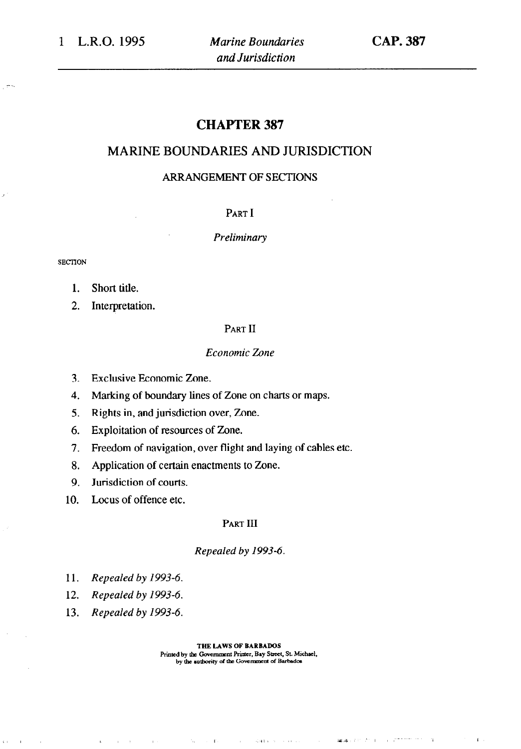# CHAPTER 387

# MARINE BOUNDARIES AND JURISDICTION

### ARRANGEMENT OF SECTIONS

#### PART I

*Preliminary* 

**SECIION** 

- 1. Short title.
- 2. Interpretation.

#### PART II

#### *Economic Zone*

- 3. Exclusive Economic Zone.
- 4. Marking of boundary lines of Zone on charts or maps.
- 5. Rights in, and jurisdiction over, Zone.
- 6. Exploitation of resources of Zone.
- 7. Freedom of navigation, over flight and laying of cables etc.
- 8. Application of certain enactments to Zone.
- 9. Jurisdiction of courts.
- 10. Locus of offence etc.

#### PART III

#### *Repealed by 1993-6.*

- 11. *Repealed by 1993-6.*
- 12. *Repealed by 1993-6.*
- 13. *Repealed by 1993-6.*

 $\alpha\in\mathbb{R}^2$ 

 $\sim$  1  $\sim$ 

**THE LAWS OF BARBADOS**  Printed by the Government Printer, Bay Street, St. Michael, by the authority of the Government of Barbados

the conditions of control

 $\sim 100$ 

 $\sim \tau_{\rm vir}$ 

against the training and the

 $\alpha$ 

 $\mathbf{E}^{\dagger}$  .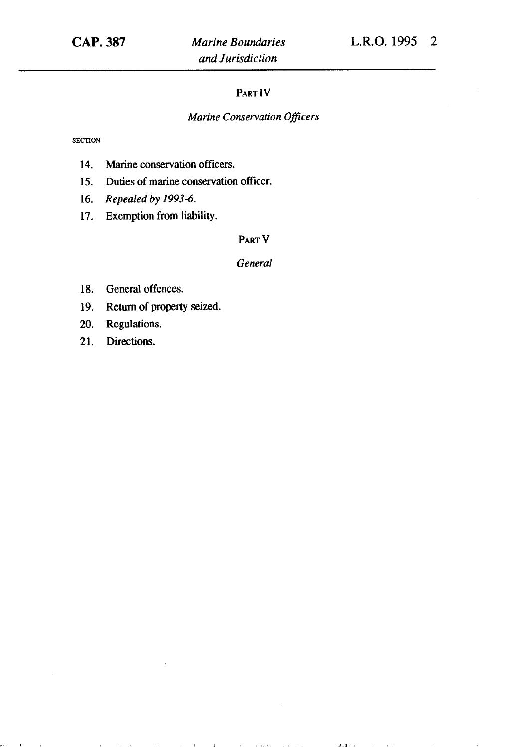#### PART IV

### *Marine Conservation Officers*

**SECTION** 

- 14. Marine conservation officers.
- 15. Duties of marine conservation officer.
- 16. *Repealed by 1993-6.*
- 17. Exemption from liability.

#### PART V

#### *General*

 $\mathcal{L}^{\mathcal{L}}$  , we can be a set of the set of  $\mathcal{L}^{\mathcal{L}}$ 

 $\mathbf{I}$ 

 $\mathsf{add}(\mathsf{cl}(x_1, \ldots, x_n)) = \mathsf{cl}(x_1, \ldots, x_n)$ 

- 18. General offences.
- 19. Return of property seized.

 $\mathbf{a}^{(i)}$  , and  $\mathbf{a}^{(i)}$  ,  $\mathbf{a}^{(i)}$  , and  $\mathbf{a}^{(i)}$  , and  $\mathbf{a}^{(i)}$  , and  $\mathbf{a}^{(i)}$ 

- 20. Regulations.
- 21. Directions.

k).

 $\sim 0.1$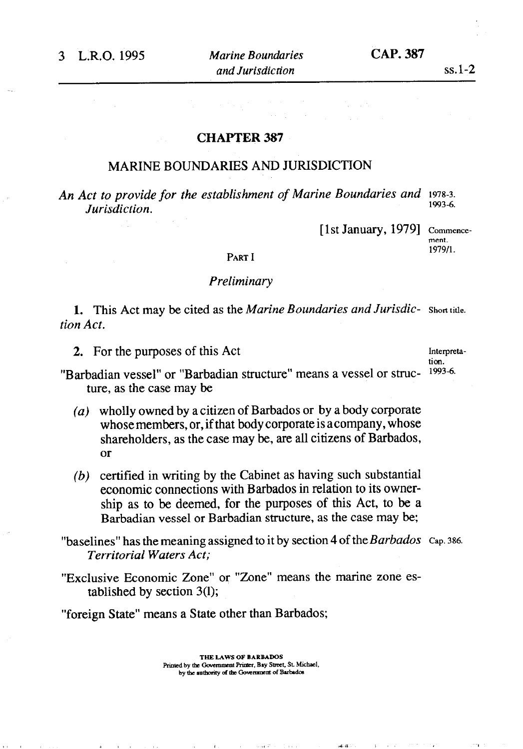#### CHAPTER 387

### MARINE BOUNDARIES AND JURISDICTION

*An Act to provide for the establishment of Marine Boundaries and 1978-3. Jurisdiction.* 

[1st January, 1979] Commence-

alle (FDF).

**ment.**  1979/1.

### PART I

## *Preliminary*

1. This Act may be cited as *the Marine Boundaries and Jurisdic- Short title. tion Act.* 

2. For the purposes of this Act Interpreta-

**tion.** 

"Barbadian vessel" or "Barbadian structure" means a vessel or structure, as the case may be

- *(a)* wholly owned by a citizen of Barbados or by a body corporate whose members, or, if that body corporate is acompany, whose shareholders, as the case may be, are all citizens of Barbados, or
- *(b)* certified in writing by the Cabinet as having such substantial economic connections with Barbados in relation to its ownership as to be deemed, for the purposes of this Act, to be a Barbadian vessel or Barbadian structure, as the case may be;

"baselines" has the meaning assigned to it by section 4 of the Barbados Cap. 386. *Territorial Waters Act;* 

"Exclusive Economic Zone" or "Zone" means the marine zone established by section 3(l);

"foreign State" means a State other than Barbados;

**THE LAWS OF BARBADOS**  Printed by the Government Printer, Bay Street, St. Michael, by the authority of the Government of Barbados

التقاهيب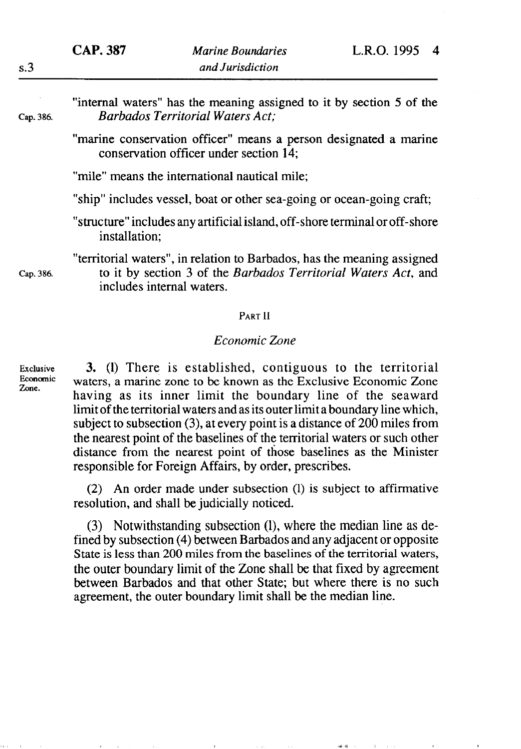"internal waters" has the meaning assigned to it by section 5 of the Cap. 386. *Barbados Territorial Waters Act;* 

> "marine conservation officer" means a person designated a marine conservation officer under section 14;

"mile" means the international nautical mile:

"ship" includes vessel, boat or other sea-going or ocean-going craft;

"structure" includes any artificial island, off-shore terminal or off-shore installation:

"territorial waters", in relation to Barbados, has the meaning assigned Cap. 386. to it by section *3* of the *Barbados Territorial Waters Act,* and includes internal waters.

#### PART II

#### *Economic Zone*

Economic **Zone.** 

Exclusive 3. (1) There is established, contiguous to the territorial waters, a marine zone to be known as the Exclusive Economic Zone having as its inner limit the boundary line of the seaward limit of the territorial waters and as its outer limit a boundary line which, subject to subsection (3), at every point is a distance of 200 miles from the nearest point of the baselines of the territorial waters or such other distance from the nearest point of those baselines as the Minister responsible for Foreign Affairs, by order, prescribes.

> (2) An order made under subsection (1) is subject to affirmative resolution, and shall be judicially noticed.

> (3) Notwithstanding subsection (l), where the median line as defined by subsection (4) between Barbados and any adjacent or opposite State is less than 200 miles from the baselines of the territorial waters, the outer boundary limit of the Zone shall be that fixed by agreement between Barbados and that other State; but where there is no such agreement, the outer boundary limit shall be the median line.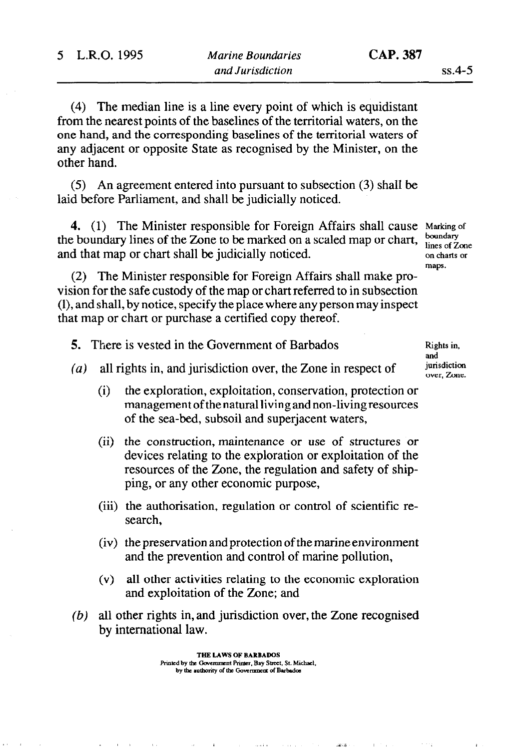(4) The median line is a line every point of which is equidistant from the nearest points of the baselines of the territorial waters, on the one hand, and the corresponding baselines of the territorial waters of any adjacent or opposite State as recognised by the Minister, on the other hand.

(5) An agreement entered into pursuant to subsection (3) shall be laid before Parliament, and shall be judicially noticed.

4. (1) The Minister responsible for Foreign Affairs shall cause Marking of the boundary lines of the Zone to be marked on a scaled map or chart,  $\frac{\text{boundary}}{\text{lines of } \text{Zone}}$ and that map or chart shall be judicially noticed.  $\frac{1}{2}$  on charts or

(2) The Minister responsible for Foreign Affairs shall make provision for the safe custody of the map or chart referred to in subsection (I), and shall, by notice, specify the place where any person may inspect that map or chart or purchase a certified copy thereof.

5. There is vested in the Government of Barbados Rights in,

and<br>jurisdiction over, Zone.

maps.

- *(a)* all rights in, and jurisdiction over, the Zone in respect of
	- (i) the exploration, exploitation, conservation, protection or management of the natural living and non-living resources of the sea-bed, subsoil and superjacent waters,
	- (ii) the construction, maintenance or use of structures or devices relating to the exploration or exploitation of the resources of the Zone, the regulation and safety of shipping, or any other economic purpose,
	- (iii) the authorisation, regulation or control of scientific research,
	- (iv) the preservation and protection of the marine environment and the prevention and control of marine pollution,
	- (v) all other activities relating to the economic exploration and exploitation of the Zone; and

 $11\%$ 

*(b)* all other rights in, and jurisdiction over, the Zone recognised by international law.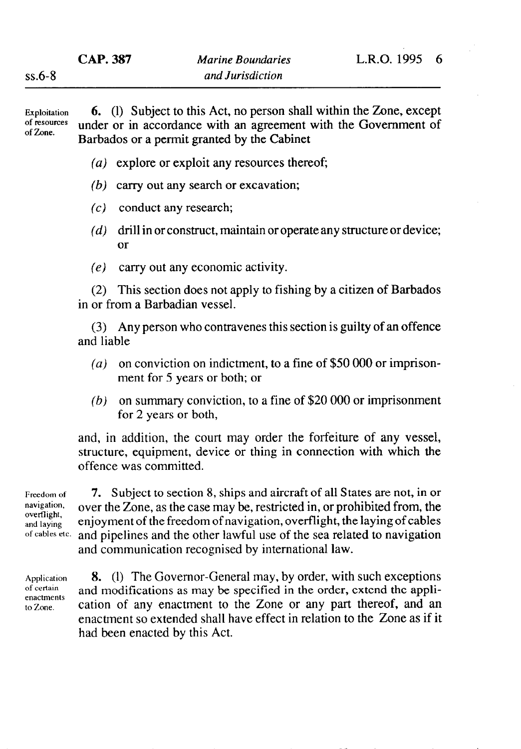Exploitation of resources of Zone.

6. (1) Subject to this Act, no person shall within the Zone, except under or in accordance with an agreement with the Government of Barbados or a permit granted by the Cabinet

- *(a)* explore or exploit any resources thereof;
- *(b)* carry out any search or excavation;
- (c) conduct any research;
- $(d)$  drill in or construct, maintain or operate any structure or device; or
- (e) carry out any economic activity.

(2) This section does not apply to fishing by a citizen of Barbados in or from a Barbadian vessel.

(3) Any person who contravenes this section is guilty of an offence and liable

- *(a)* on conviction on indictment, to a fine of \$50 000 or imprisonment for 5 years or both; or
- $(b)$  on summary conviction, to a fine of \$20 000 or imprisonment for 2 years or both,

and, in addition, the court may order the forfeiture of any vessel, structure, equipment, device or thing in connection with which the offence was committed.

**Freedom of**  navigation, overflight, and laying of cables etc.

**7. Subject to section 8, ships and aircraft of all States are not, in or**  over the Zone, as the case may be, restricted in, or prohibited from, the enjoyment of the freedom of navigation, overflight, the laying of cables and pipelines and the other lawful use of the sea related to navigation and communication recognised by international law.

Application of certain enactments to Zone.

8. (1) The Governor-General may, by order, with such exceptions and modifications as may be specified in the order, extend the application of any enactment to the Zone or any part thereof, and an enactment so extended shall have effect in relation to the Zone as if it had been enacted by this Act.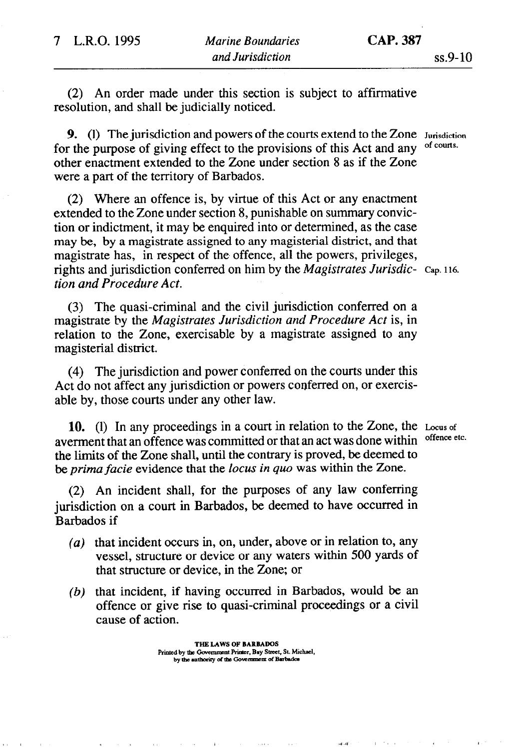(2) An order made under this section is subject to affirmative resolution, and shall be judicially noticed.

9. (1) The jurisdiction and powers of the courts extend to the Zone Jurisdiction r the nurnose of giving effect to the provisions of this Act and any of courts. for the purpose of giving effect to the provisions of this Act and any other enactment extended to the Zone under section 8 as if the Zone were a part of the territory of Barbados.

(2) Where an offence is, by virtue of this Act or any enactment extended to the Zone under section 8, punishable on summary conviction or indictment, it may be enquired into or determined, as the case may be, by a magistrate assigned to any magisterial district, and that magistrate has, in respect of the offence, all the powers, privileges, rights and jurisdiction conferred on him by the *Magistrates Jurisdic-* Cap. 116. *tion and Procedure Act.* 

 $\Gamma = 7.4 \pm 0.1$ 

 $\mathfrak{so}(A)$ 

(3) The quasi-criminal and the civil jurisdiction conferred on a magistrate by the *Magistrates Jurisdiction and Procedure Act* is, in relation to the Zone, exercisable by a magistrate assigned to any magisterial district.

(4) The jurisdiction and power conferred on the courts under this Act do not affect any jurisdiction or powers conferred on, or exercisable by, those courts under any other law.

10. (1) In any proceedings in a court in relation to the Zone, the Locus of<br>erment that an offence was committed or that an act was done within offence etc. averment that an offence was committed or that an act was done within the limits of the Zone shall, until the contrary is proved, be deemed to *be prima facie* evidence that the locus *in quo* was within the Zone.

(2) An incident shall, for the purposes of any law conferring jurisdiction on a court in Barbados, be deemed to have occurred in Barbados if

- $(a)$  that incident occurs in, on, under, above or in relation to, any vessel, structure or device or any waters within 500 yards of that structure or device, in the Zone; or
- *(b)* that incident, if having occurred in Barbados, would be an offence or give rise to quasi-criminal proceedings or a civil cause of action.

**THE LAWS OF BARBADOS** Printed by the Government Printer, Bay Street, St. Michael, by the authority of the Government of Barbados

 $\mathcal{O}(1000)$  and  $\mathcal{O}(1000)$  . The second state  $\mathcal{O}(1000)$ 

 $\phi$  and  $\phi$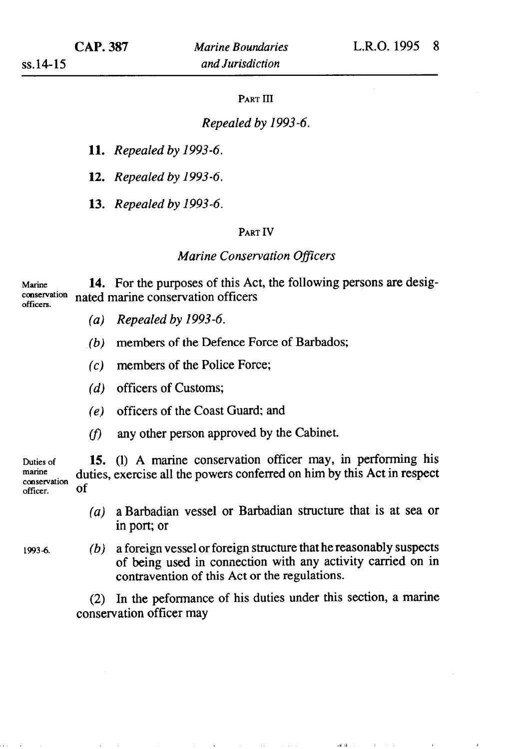### PART III

### *Repealed by 1993-6.*

*11. Repealed by 1993-6.* 

*12. Repealed by 1993-6.* 

*13. Repealed by 1993-6.* 

#### PART IV

### *Marine Conservation O#icers*

Marine 14. For the purposes of this Act, the following persons are desig-<br>conservation nated marine conservation officers conservation nated marine conservation officers

- *(a) Repealed by 1993-6.*
- *(b)* members of the Defence Force of Barbados;
- (c) members of the Police Force;
- *(d)* officers of Customs;
- (e) officers of the Coast Guard; and
- $(f)$  any other person approved by the Cabinet.

Duties of 15. (1) A marine conservation officer may, in performing his marine duties exercise all the powers conferred on him by this Act in respect marine duties, exercise all the powers conferred on him by this Act in respect officer. of

- *(a)* a Barbadian vessel or Barbadian structure that is at sea or in port; or
- 
- 19934. *(b)* a foreign vessel or foreign structure that he reasonably suspects of being used in connection with any activity carried on in contravention of this Act or the regulations.

(2) In the peformance of his duties under this section, a marine conservation officer may

 $\mathbf{ad}(\mathbf{sk}(\mathbf{r},\mathbf{r}))$  .

and the company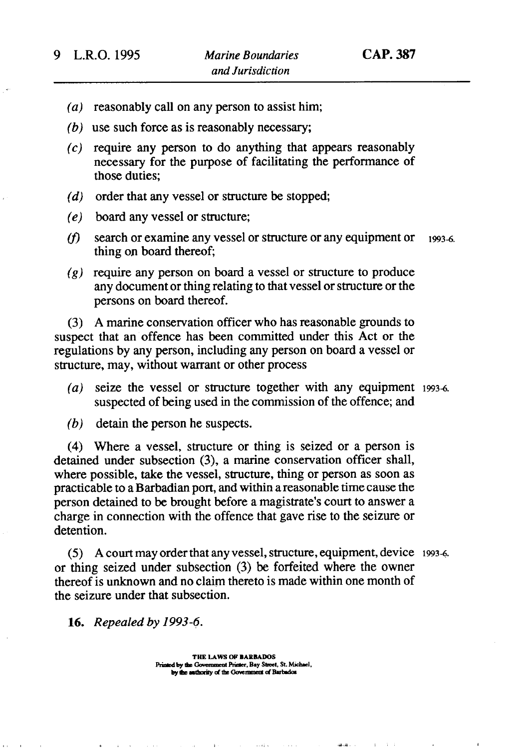- (*a*) reasonably call on any person to assist him;
- (b) use such force as is reasonably necessary
- (c) require any person to do anything that appears reasonably necessary for the purpose of facilitating the performance of those duties;
- $(d)$  order that any vessel or structure be stopped;
- $(e)$ board any vessel or structure;
- $(f)$ search or examine any vessel or structure or any equipment or 1993-6. thing on board thereof;
- $\zeta(g)$  require any person on board a vessel or structure to produce any document or thing relating to that vessel or structure or the persons on board thereof.

(3) A marine conservation officer who has reasonable grounds to suspect that an offence has been committed under this Act or the regulations by any person, including any person on board a vessel or structure, may, without warrant or other process

- *(a)* seize the vessel or structure together with any equipment 1993-6. suspected of being used in the commission of the offence; and
- *(b)* detain the person he suspects.

(4) Where a vessel, structure or thing is seized or a person is detained under subsection (3), a marine conservation officer shall, where possible, take the vessel, structure, thing or person as soon as practicable to a Barbadian port, and within a reasonable time cause the person detained to be brought before a magistrate's court to answer a charge in connection with the offence that gave rise to the seizure or detention.

 $(5)$  A court may order that any vessel, structure, equipment, device 1993-6. or thing seized under subsection (3) be forfeited where the owner thereof is unknown and no claim thereto is made within one month of the seizure under that subsection.

 $\mathbf{a}$  and  $\mathbf{a}$  .

16. *Repealed by 1993-e.* 

**THE LAWS OF BARBADOS** Printed by the Government Printer, Bay Street, St. Michael, by the authority of the Government of Barbados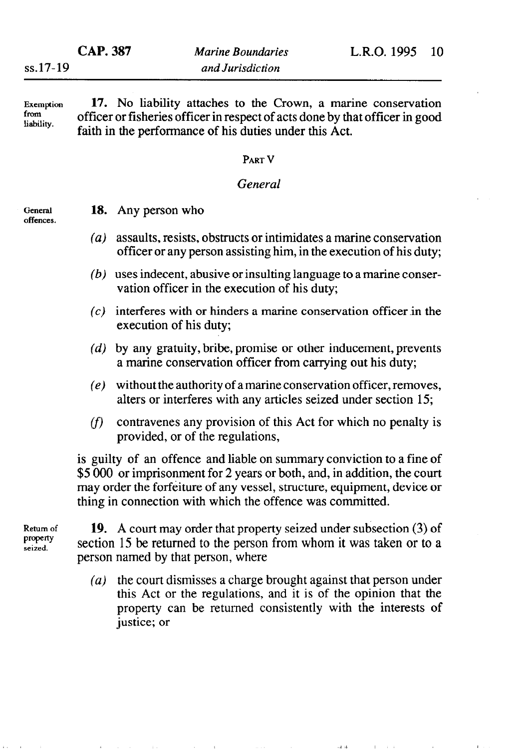$\sim 10^{-1}$  k  $^{-1}$ 

from liability.

Exemption 17. No liability attaches to the Crown, a marine conservation officer or fisheries officer in respect of acts done by that officer in good faith in the performance of his duties under this Act.

# **PART** V

# *General*

General offences. 18. Any person who

- $(a)$ assaults, resists, obstructs or intimidates a marine conservation officer or any person assisting him, in the execution of his duty;
- $(b)$  uses indecent, abusive or insulting language to a marine conservation officer in the execution of his duty;
- $(c)$  interferes with or hinders a marine conservation officer in the execution of his duty;
- $(d)$  by any gratuity, bribe, promise or other inducement, prevents a marine conservation officer from carrying out his duty;
- $(e)$  without the authority of a marine conservation officer, removes, alters or interferes with any articles seized under section 15;
- contravenes any provision of this Act for which no penalty is  $(f)$ provided, or of the regulations,

is guilty of an offence and liable on summary conviction to a fine of \$5 000 or imprisonment for 2 years or both, and, in addition, the court may order the forfeiture of any vessel, structure, equipment, device or thing in connection with which the offence was committed.

property<br>seized.

Return of  $19.$  A court may order that property seized under subsection (3) of section 15 be returned to the person from whom it was taken or to a person named by that person, where

> *(a)* the court dismisses a charge brought against that person under this Act or the regulations, and it is of the opinion that the property can be returned consistently with the interests of justice; or